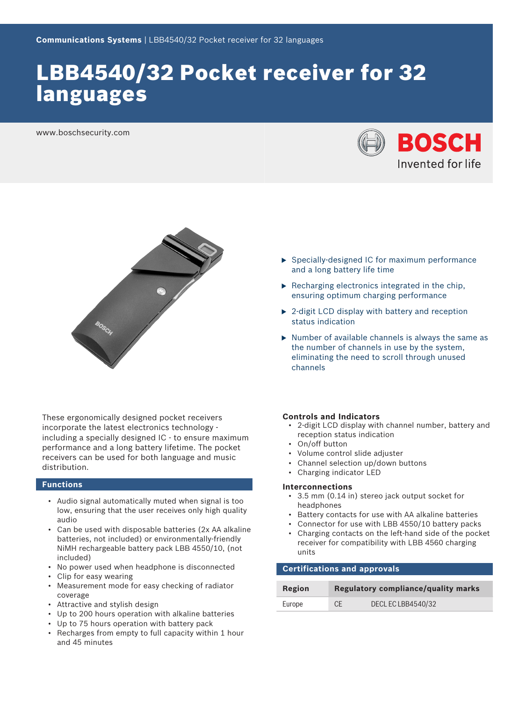# LBB4540/32 Pocket receiver for 32 languages

www.boschsecurity.com





These ergonomically designed pocket receivers incorporate the latest electronics technology including a specially designed IC - to ensure maximum performance and a long battery lifetime. The pocket receivers can be used for both language and music distribution.

#### **Functions**

- Audio signal automatically muted when signal is too low, ensuring that the user receives only high quality audio
- Can be used with disposable batteries (2x AA alkaline batteries, not included) or environmentally-friendly NiMH rechargeable battery pack LBB 4550/10, (not included)
- No power used when headphone is disconnected
- Clip for easy wearing
- Measurement mode for easy checking of radiator coverage
- Attractive and stylish design
- Up to 200 hours operation with alkaline batteries
- Up to 75 hours operation with battery pack
- Recharges from empty to full capacity within 1 hour and 45 minutes
- $\triangleright$  Specially-designed IC for maximum performance and a long battery life time
- $\blacktriangleright$  Recharging electronics integrated in the chip. ensuring optimum charging performance
- $\triangleright$  2-digit LCD display with battery and reception status indication
- $\triangleright$  Number of available channels is always the same as the number of channels in use by the system, eliminating the need to scroll through unused channels

#### **Controls and Indicators**

- 2-digit LCD display with channel number, battery and reception status indication
- On/off button
- Volume control slide adjuster
- Channel selection up/down buttons
- Charging indicator LED

#### **Interconnections**

- 3.5 mm (0.14 in) stereo jack output socket for headphones
- Battery contacts for use with AA alkaline batteries
- Connector for use with LBB 4550/10 battery packs
- Charging contacts on the left-hand side of the pocket receiver for compatibility with LBB 4560 charging units

## **Certifications and approvals**

| Region | <b>Regulatory compliance/quality marks</b> |                           |
|--------|--------------------------------------------|---------------------------|
| Europe | <b>CE</b>                                  | <b>DECL EC LBB4540/32</b> |